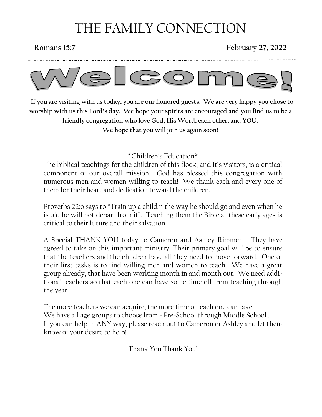# THE FAMILY CONNECTION

### **Romans 15:7 February 27, 2022**



 **If you are visiting with us today, you are our honored guests. We are very happy you chose to worship with us this Lord's day. We hope your spirits are encouraged and you find us to be a friendly congregation who love God, His Word, each other, and YOU. We hope that you will join us again soon!**

\*Children's Education\*

The biblical teachings for the children of this flock, and it's visitors, is a critical component of our overall mission. God has blessed this congregation with numerous men and women willing to teach! We thank each and every one of them for their heart and dedication toward the children.

Proverbs 22:6 says to "Train up a child n the way he should go and even when he is old he will not depart from it". Teaching them the Bible at these early ages is critical to their future and their salvation.

A Special THANK YOU today to Cameron and Ashley Rimmer – They have agreed to take on this important ministry. Their primary goal will be to ensure that the teachers and the children have all they need to move forward. One of their first tasks is to find willing men and women to teach. We have a great group already, that have been working month in and month out. We need additional teachers so that each one can have some time off from teaching through the year.

The more teachers we can acquire, the more time off each one can take! We have all age groups to choose from - Pre-School through Middle School. If you can help in ANY way, please reach out to Cameron or Ashley and let them know of your desire to help!

Thank You Thank You!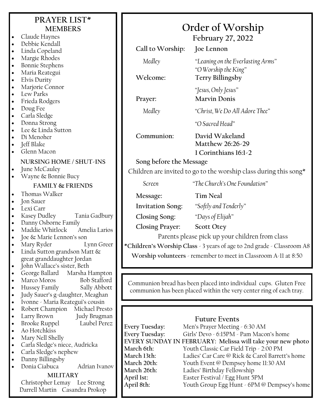|                        | PRAYER LIST*                                                          |                          |                                                                                                                                          |  |  |
|------------------------|-----------------------------------------------------------------------|--------------------------|------------------------------------------------------------------------------------------------------------------------------------------|--|--|
|                        | <b>MEMBERS</b>                                                        | Order of Worship         |                                                                                                                                          |  |  |
| $\bullet$              | Claude Haynes                                                         |                          |                                                                                                                                          |  |  |
| $\bullet$              | Debbie Kendall                                                        |                          | <b>February 27, 2022</b>                                                                                                                 |  |  |
|                        | Linda Copeland                                                        | Call to Worship:         | Joe Lennon                                                                                                                               |  |  |
| $\bullet$              | Margie Rhodes                                                         | Medley                   | "Leaning on the Everlasting Arms"                                                                                                        |  |  |
| $\bullet$              | <b>Bonnie Stephens</b>                                                |                          | "O Worship the King"                                                                                                                     |  |  |
| $\bullet$              | Maria Reategui                                                        | Welcome:                 | Terry Billingsby                                                                                                                         |  |  |
| $\bullet$              | Elvis Durity<br>Marjorie Connor                                       |                          |                                                                                                                                          |  |  |
| $\bullet$<br>$\bullet$ | Lew Parks                                                             |                          | "Jesus, Only Jesus"                                                                                                                      |  |  |
| $\bullet$              | Frieda Rodgers                                                        | Prayer:                  | <b>Marvin Donis</b>                                                                                                                      |  |  |
| $\bullet$              | Doug Fee                                                              | Medley                   | "Christ, We Do All Adore Thee"                                                                                                           |  |  |
| $\bullet$              | Carla Sledge                                                          |                          |                                                                                                                                          |  |  |
| $\bullet$              | Donna Strong<br>Lee & Linda Sutton                                    |                          | "O Sacred Head"                                                                                                                          |  |  |
| $\bullet$<br>$\bullet$ | Di Menoher                                                            | Communion:               | David Wakeland                                                                                                                           |  |  |
| $\bullet$              | Jeff Blake                                                            |                          | Matthew 26:26-29                                                                                                                         |  |  |
| $\bullet$              | Glenn Macon                                                           |                          | 1 Corinthians 16:1-2                                                                                                                     |  |  |
|                        | NURSING HOME / SHUT-INS                                               | Song before the Message  |                                                                                                                                          |  |  |
| $\bullet$              | June McCauley                                                         |                          | Children are invited to go to the worship class during this song*                                                                        |  |  |
| $\bullet$              | Wayne & Bonnie Bucy                                                   |                          |                                                                                                                                          |  |  |
|                        | <b>FAMILY &amp; FRIENDS</b>                                           | Screen                   | "The Church's One Foundation"                                                                                                            |  |  |
| $\bullet$              | Thomas Walker                                                         | Message:                 | <b>Tim Neal</b>                                                                                                                          |  |  |
| $\bullet$              | Jon Sauer                                                             | <b>Invitation Song:</b>  | "Softly and Tenderly"                                                                                                                    |  |  |
| $\bullet$              | Lexi Carr<br>Kasey Dudley<br>Tania Gadbury                            |                          |                                                                                                                                          |  |  |
| $\bullet$<br>$\bullet$ | Danny Osborne Family                                                  | Closing Song:            | "Days of Elijah"                                                                                                                         |  |  |
| $\bullet$              | Amelia Larios<br>Maddie Whitlock                                      | <b>Closing Prayer:</b>   | <b>Scott Otey</b>                                                                                                                        |  |  |
|                        | Joe & Marie Lennon's son                                              |                          | Parents please pick up your children from class                                                                                          |  |  |
| $\bullet$              | Lynn Greer<br>Mary Ryder                                              |                          | *Children's Worship Class - 3 years of age to 2nd grade - Classroom A8                                                                   |  |  |
| $\bullet$              | Linda Sutton grandson Matt &                                          |                          | Worship volunteers - remember to meet in Classroom A-11 at 8:50                                                                          |  |  |
| $\bullet$              | great granddaughter Jordan<br>John Wallace's sister, Beth             |                          |                                                                                                                                          |  |  |
| $\bullet$              | George Ballard Marsha Hampton                                         |                          |                                                                                                                                          |  |  |
| $\bullet$              | <b>Bob Stafford</b><br>Marco Moros                                    |                          |                                                                                                                                          |  |  |
| $\bullet$              | Hussey Family<br>Sally Abbott                                         |                          | Communion bread has been placed into individual cups. Gluten Free<br>communion has been placed within the very center ring of each tray. |  |  |
| $\bullet$              | Judy Sauer's g-daughter, Meaghan                                      |                          |                                                                                                                                          |  |  |
| $\bullet$<br>$\bullet$ | Ivonne - Maria Reategui's cousin<br>Robert Champion<br>Michael Presto |                          |                                                                                                                                          |  |  |
| $\bullet$              | Larry Brown<br>Judy Brugman                                           |                          |                                                                                                                                          |  |  |
| $\bullet$              | <b>Brooke Ruppel</b><br>Laubel Perez                                  | Every Tuesday:           | <b>Future Events</b><br>Men's Prayer Meeting - 6:30 AM                                                                                   |  |  |
| $\bullet$              | Ao Hotchkiss                                                          | Every Tuesday:           | Girls' Devo - 6:15PM - Pam Macon's home                                                                                                  |  |  |
| $\bullet$              | Mary Nell Shelly                                                      |                          | EVERY SUNDAY IN FEBRUARY: Melissa will take your new photo                                                                               |  |  |
| $\bullet$              | Carla Sledge's niece, Audricka                                        | March 6th:               | Youth Classic Car Field Trip - 2:00 PM                                                                                                   |  |  |
| $\bullet$<br>$\bullet$ | Carla Sledge's nephew<br>Danny Billingsby                             | March 13th:              | Ladies' Car Care @ Rick & Carol Barrett's home                                                                                           |  |  |
|                        | Donia Ciabuca<br>Adrian Ivanov                                        | March 20th:              | Youth Event @ Dempsey home 11:30 AM                                                                                                      |  |  |
|                        | <b>MILITARY</b>                                                       | March 26th:              | Ladies' Birthday Fellowship                                                                                                              |  |  |
|                        | Christopher Lemay Lee Strong                                          | April 1st:<br>April 8th: | Easter Festival / Egg Hunt 5PM<br>Youth Group Egg Hunt - 6PM @ Dempsey's home                                                            |  |  |
|                        | Darrell Martin Casandra Prokop                                        |                          |                                                                                                                                          |  |  |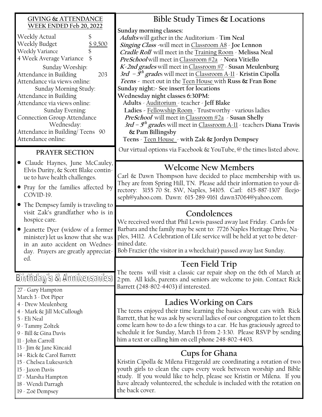| <b>GIVING &amp; ATTENDANCE</b>                                                                                                                                                                                                                                                                                                                                                                                            | Bible Study Times & Locations                                                                                                                                                                                                                                                                                                                                                                                                                                                                                                                                                                                                                                                                                                                                                                                                                                      |
|---------------------------------------------------------------------------------------------------------------------------------------------------------------------------------------------------------------------------------------------------------------------------------------------------------------------------------------------------------------------------------------------------------------------------|--------------------------------------------------------------------------------------------------------------------------------------------------------------------------------------------------------------------------------------------------------------------------------------------------------------------------------------------------------------------------------------------------------------------------------------------------------------------------------------------------------------------------------------------------------------------------------------------------------------------------------------------------------------------------------------------------------------------------------------------------------------------------------------------------------------------------------------------------------------------|
| WEEK ENDED Feb 20, 2022<br>Weekly Actual<br>Weekly Budget<br>\$9,500<br>Weekly Variance<br>4 Week Average Variance<br>Sunday Worship:<br>Attendance in Building<br>203<br>Attendance via views online:<br>Sunday Morning Study:<br>Attendance in Building<br>Attendance via views online:<br>Sunday Evening:<br><b>Connection Group Attendance</b><br>Wednesday:<br>Attendance in Building/Teens 90<br>Attendance online: | Sunday morning classes:<br>Adults will gather in the Auditorium - Tim Neal<br>Singing Class -will meet in Classroom A8 - Joe Lennon<br>Cradle Roll will meet in the Training Room - Melissa Neal<br>PreSchool will meet in Classroom #2a > Nora Vitiello<br>K-2nd grades will meet in Classroom #7 - Susan Meulenburg<br>3rd $-5$ <sup>th</sup> grades will meet in Classroom A-11 - Kristin Cipolla<br>Teens - meet out in the Teen House with Russ & Fran Bone<br>Sunday night: - See insert for locations<br>Wednesday night classes 6:30PM:<br>Adults - Auditorium - teacher - Jeff Blake<br>Ladies - Fellowship Room - Trustworthy - various ladies<br>PreSchool will meet in Classroom #2a - Susan Shelly<br>3rd – $5^{th}$ grades will meet in Classroom A-11 - teachers Diana Travis<br>& Pam Billingsby<br>Teens - Teen House - with Zak & Jordyn Dempsey |
| PRAYER SECTION                                                                                                                                                                                                                                                                                                                                                                                                            | Our virtual options via Facebook $\&$ YouTube, $\&$ the times listed above.                                                                                                                                                                                                                                                                                                                                                                                                                                                                                                                                                                                                                                                                                                                                                                                        |
| • Claude Haynes, June McCauley,<br>Elvis Durity, & Scott Blake contin-<br>ue to have health challenges.<br>• Pray for the families affected by<br>COVID-19.                                                                                                                                                                                                                                                               | <b>Welcome New Members</b><br>Carl & Dawn Thompson have decided to place membership with us.<br>They are from Spring Hill, TN. Please add their information to your di-<br>rectory: 3155 70 St. SW, Naples, 34105. Carl: 615-887-1307 fleejo-<br>seph@yahoo.com. Dawn: 615-289-9161 dawn37064@yahoo.com.                                                                                                                                                                                                                                                                                                                                                                                                                                                                                                                                                           |
| • The Dempsey family is traveling to<br>visit Zak's grandfather who is in<br>hospice care.<br>• Jeanette Dyer (widow of a former<br>minister) let us know that she was<br>in an auto accident on Wednes-<br>day. Prayers are greatly appreciat-                                                                                                                                                                           | Condolences<br>We received word that Phil Lewis passed away last Friday. Cards for<br>Barbara and the family may be sent to: 7726 Naples Heritage Drive, Na-<br>ples, 34112. A Celebration of Life service will be held at yet to be deter-<br>mined date.<br>Bob Frazier (the visitor in a wheelchair) passed away last Sunday.                                                                                                                                                                                                                                                                                                                                                                                                                                                                                                                                   |
| ed.<br>Birthday's & Anniversaries<br>27 - Gary Hampton                                                                                                                                                                                                                                                                                                                                                                    | Teen Field Trip<br>The teens will visit a classic car repair shop on the 6th of March at<br>2:pm. All kids, parents and seniors are welcome to join. Contact Rick<br>Barrett (248-802-4403) if interested.                                                                                                                                                                                                                                                                                                                                                                                                                                                                                                                                                                                                                                                         |
| March 3 - Dot Piper<br>4 - Drew Meulenberg<br>4 - Mark & Jill McCullough<br>5 - Eli Neal<br>9 - Tammy Zoltek<br>9 - Bill & Gina Davis<br>11 - John Carroll                                                                                                                                                                                                                                                                | Ladies Working on Cars<br>The teens enjoyed their time learning the basics about cars with Rick<br>Barrett, that he was ask by several ladies of our congregation to let them<br>come learn how to do a few things to a car. He has graciously agreed to<br>schedule it for Sunday, March 13 from 2-3:30. Please RSVP by sending<br>him a text or calling him on cell phone 248-802-4403.                                                                                                                                                                                                                                                                                                                                                                                                                                                                          |
| 13 - Jim & Jane Kincaid<br>14 - Rick & Carol Barrett<br>15 - Chelsea Lukesavich<br>15 - Jaxon Davis<br>17 - Marsha Hampton                                                                                                                                                                                                                                                                                                | <b>Cups for Ghana</b><br>Kristin Cipolla & Milena Fitzgerald are coordinating a rotation of two<br>youth girls to clean the cups every week between worship and Bible<br>study. If you would like to help, please see Kristin or Milena. If you                                                                                                                                                                                                                                                                                                                                                                                                                                                                                                                                                                                                                    |